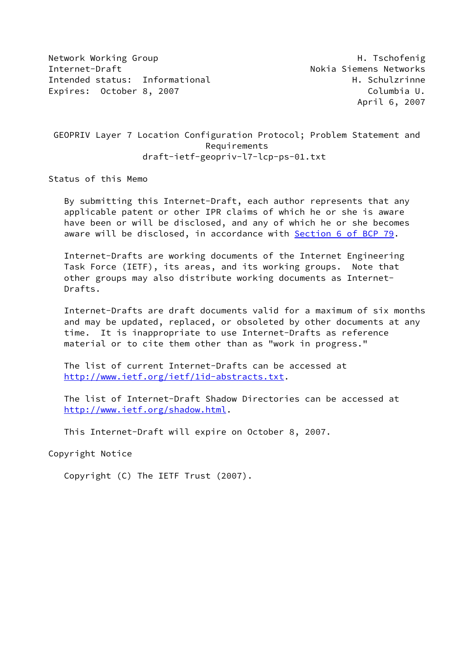Network Working Group Network Alexander Management of the H. Tschofenig Internet-Draft **No. 2018** Nokia Siemens Networks Intended status: Informational example and the H. Schulzrinne Expires: October 8, 2007 Columbia U.

April 6, 2007

 GEOPRIV Layer 7 Location Configuration Protocol; Problem Statement and Requirements draft-ietf-geopriv-l7-lcp-ps-01.txt

Status of this Memo

 By submitting this Internet-Draft, each author represents that any applicable patent or other IPR claims of which he or she is aware have been or will be disclosed, and any of which he or she becomes aware will be disclosed, in accordance with Section [6 of BCP 79.](https://datatracker.ietf.org/doc/pdf/bcp79#section-6)

 Internet-Drafts are working documents of the Internet Engineering Task Force (IETF), its areas, and its working groups. Note that other groups may also distribute working documents as Internet- Drafts.

 Internet-Drafts are draft documents valid for a maximum of six months and may be updated, replaced, or obsoleted by other documents at any time. It is inappropriate to use Internet-Drafts as reference material or to cite them other than as "work in progress."

 The list of current Internet-Drafts can be accessed at <http://www.ietf.org/ietf/1id-abstracts.txt>.

 The list of Internet-Draft Shadow Directories can be accessed at <http://www.ietf.org/shadow.html>.

This Internet-Draft will expire on October 8, 2007.

Copyright Notice

Copyright (C) The IETF Trust (2007).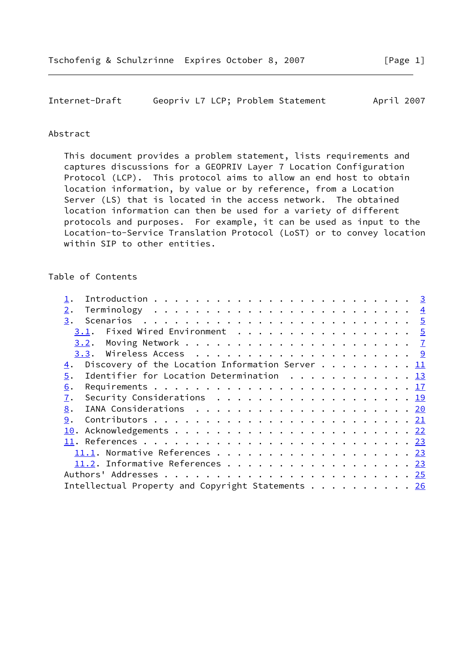Internet-Draft Geopriv L7 LCP; Problem Statement April 2007

### Abstract

 This document provides a problem statement, lists requirements and captures discussions for a GEOPRIV Layer 7 Location Configuration Protocol (LCP). This protocol aims to allow an end host to obtain location information, by value or by reference, from a Location Server (LS) that is located in the access network. The obtained location information can then be used for a variety of different protocols and purposes. For example, it can be used as input to the Location-to-Service Translation Protocol (LoST) or to convey location within SIP to other entities.

### Table of Contents

| 2.                                                                                            |  |
|-----------------------------------------------------------------------------------------------|--|
| 3.                                                                                            |  |
| Fixed Wired Environment <u>5</u><br>3.1.                                                      |  |
|                                                                                               |  |
|                                                                                               |  |
| Discovery of the Location Information Server 11<br>4.                                         |  |
| Identifier for Location Determination 13<br>5.                                                |  |
| 6.                                                                                            |  |
| 7.<br>Security Considerations $\ldots \ldots \ldots \ldots \ldots \ldots \ldots \frac{19}{2}$ |  |
| 8.                                                                                            |  |
| 9.                                                                                            |  |
|                                                                                               |  |
|                                                                                               |  |
|                                                                                               |  |
| 11.2. Informative References 23                                                               |  |
|                                                                                               |  |
| Intellectual Property and Copyright Statements 26                                             |  |
|                                                                                               |  |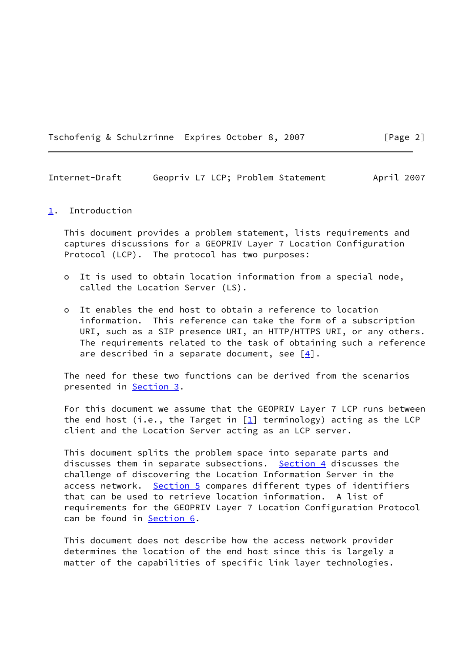Tschofenig & Schulzrinne Expires October 8, 2007 [Page 2]

<span id="page-2-1"></span>Internet-Draft Geopriv L7 LCP; Problem Statement April 2007

### <span id="page-2-0"></span>[1](#page-2-0). Introduction

 This document provides a problem statement, lists requirements and captures discussions for a GEOPRIV Layer 7 Location Configuration Protocol (LCP). The protocol has two purposes:

- o It is used to obtain location information from a special node, called the Location Server (LS).
- o It enables the end host to obtain a reference to location information. This reference can take the form of a subscription URI, such as a SIP presence URI, an HTTP/HTTPS URI, or any others. The requirements related to the task of obtaining such a reference are described in a separate document, see  $[4]$ .

 The need for these two functions can be derived from the scenarios presented in [Section 3](#page-4-0).

 For this document we assume that the GEOPRIV Layer 7 LCP runs between the end host (i.e., the Target in  $[1]$  $[1]$  terminology) acting as the LCP client and the Location Server acting as an LCP server.

 This document splits the problem space into separate parts and discusses them in separate subsections. [Section 4](#page-11-0) discusses the challenge of discovering the Location Information Server in the access network. [Section 5](#page-13-0) compares different types of identifiers that can be used to retrieve location information. A list of requirements for the GEOPRIV Layer 7 Location Configuration Protocol can be found in [Section 6](#page-18-0).

 This document does not describe how the access network provider determines the location of the end host since this is largely a matter of the capabilities of specific link layer technologies.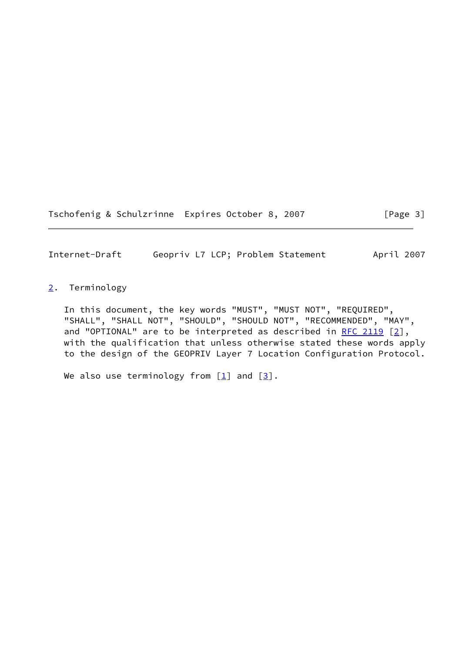Tschofenig & Schulzrinne Expires October 8, 2007 [Page 3]

<span id="page-3-1"></span>Internet-Draft Geopriv L7 LCP; Problem Statement April 2007

<span id="page-3-0"></span>[2](#page-3-0). Terminology

 In this document, the key words "MUST", "MUST NOT", "REQUIRED", "SHALL", "SHALL NOT", "SHOULD", "SHOULD NOT", "RECOMMENDED", "MAY", and "OPTIONAL" are to be interpreted as described in [RFC 2119](https://datatracker.ietf.org/doc/pdf/rfc2119)  $[2]$  $[2]$ , with the qualification that unless otherwise stated these words apply to the design of the GEOPRIV Layer 7 Location Configuration Protocol.

We also use terminology from  $[\underline{1}]$  and  $[\underline{3}]$ .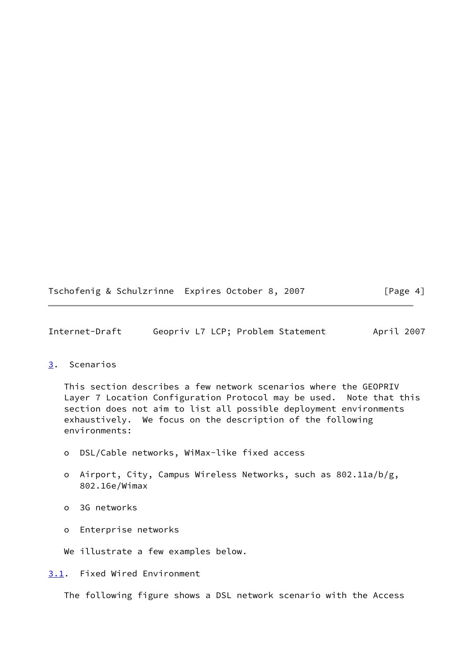Tschofenig & Schulzrinne Expires October 8, 2007 [Page 4]

<span id="page-4-1"></span>Internet-Draft Geopriv L7 LCP; Problem Statement April 2007

### <span id="page-4-0"></span>[3](#page-4-0). Scenarios

 This section describes a few network scenarios where the GEOPRIV Layer 7 Location Configuration Protocol may be used. Note that this section does not aim to list all possible deployment environments exhaustively. We focus on the description of the following environments:

- o DSL/Cable networks, WiMax-like fixed access
- o Airport, City, Campus Wireless Networks, such as 802.11a/b/g, 802.16e/Wimax
- o 3G networks
- o Enterprise networks

We illustrate a few examples below.

<span id="page-4-2"></span>[3.1](#page-4-2). Fixed Wired Environment

The following figure shows a DSL network scenario with the Access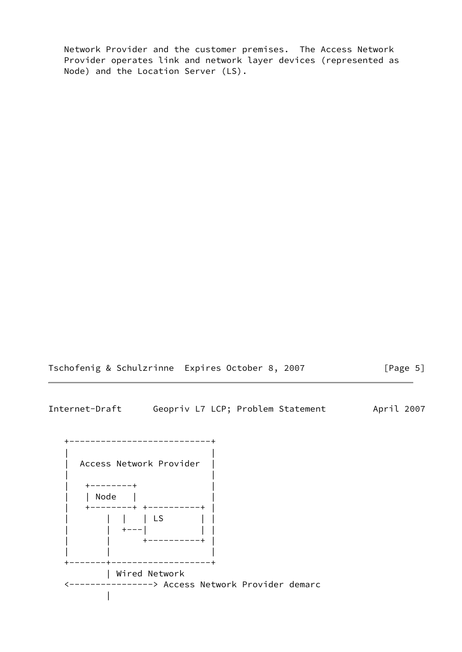Network Provider and the customer premises. The Access Network Provider operates link and network layer devices (represented as Node) and the Location Server (LS).

Tschofenig & Schulzrinne Expires October 8, 2007 [Page 5]

Internet-Draft Geopriv L7 LCP; Problem Statement April 2007

 +---------------------------+ | | | Access Network Provider | | | | +--------+ | | | Node | | | +--------+ +----------+ | | | | | LS | | | | +---| | | | | +----------+ | | | | +-------+-------------------+ | Wired Network <----------------> Access Network Provider demarc |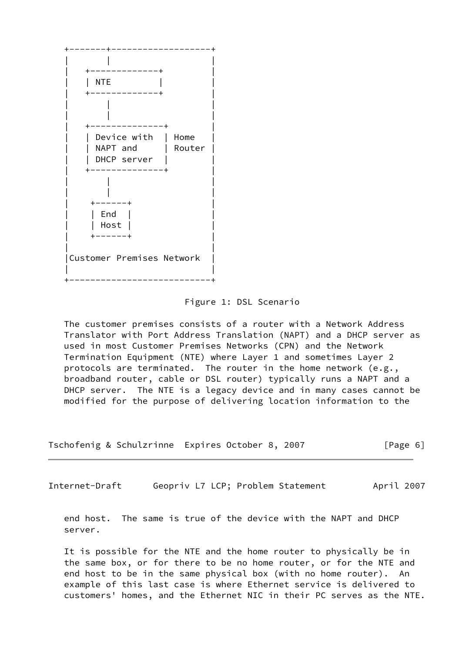

#### Figure 1: DSL Scenario

 The customer premises consists of a router with a Network Address Translator with Port Address Translation (NAPT) and a DHCP server as used in most Customer Premises Networks (CPN) and the Network Termination Equipment (NTE) where Layer 1 and sometimes Layer 2 protocols are terminated. The router in the home network (e.g., broadband router, cable or DSL router) typically runs a NAPT and a DHCP server. The NTE is a legacy device and in many cases cannot be modified for the purpose of delivering location information to the

| Tschofenig & Schulzrinne Expires October 8, 2007 |  |  |  | [Page 6] |  |
|--------------------------------------------------|--|--|--|----------|--|
|--------------------------------------------------|--|--|--|----------|--|

<span id="page-6-0"></span>Internet-Draft Geopriv L7 LCP; Problem Statement April 2007

 end host. The same is true of the device with the NAPT and DHCP server.

 It is possible for the NTE and the home router to physically be in the same box, or for there to be no home router, or for the NTE and end host to be in the same physical box (with no home router). An example of this last case is where Ethernet service is delivered to customers' homes, and the Ethernet NIC in their PC serves as the NTE.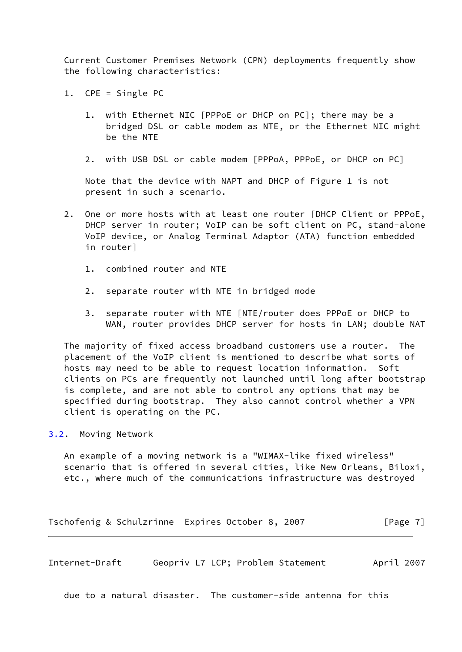Current Customer Premises Network (CPN) deployments frequently show the following characteristics:

- 1. CPE = Single PC
	- 1. with Ethernet NIC [PPPoE or DHCP on PC]; there may be a bridged DSL or cable modem as NTE, or the Ethernet NIC might be the NTE
	- 2. with USB DSL or cable modem [PPPoA, PPPoE, or DHCP on PC]

 Note that the device with NAPT and DHCP of Figure 1 is not present in such a scenario.

- 2. One or more hosts with at least one router [DHCP Client or PPPoE, DHCP server in router; VoIP can be soft client on PC, stand-alone VoIP device, or Analog Terminal Adaptor (ATA) function embedded in router]
	- 1. combined router and NTE
	- 2. separate router with NTE in bridged mode
	- 3. separate router with NTE [NTE/router does PPPoE or DHCP to WAN, router provides DHCP server for hosts in LAN; double NAT

 The majority of fixed access broadband customers use a router. The placement of the VoIP client is mentioned to describe what sorts of hosts may need to be able to request location information. Soft clients on PCs are frequently not launched until long after bootstrap is complete, and are not able to control any options that may be specified during bootstrap. They also cannot control whether a VPN client is operating on the PC.

### <span id="page-7-0"></span>[3.2](#page-7-0). Moving Network

 An example of a moving network is a "WIMAX-like fixed wireless" scenario that is offered in several cities, like New Orleans, Biloxi, etc., where much of the communications infrastructure was destroyed

Tschofenig & Schulzrinne Expires October 8, 2007 [Page 7]

Internet-Draft Geopriv L7 LCP; Problem Statement April 2007

due to a natural disaster. The customer-side antenna for this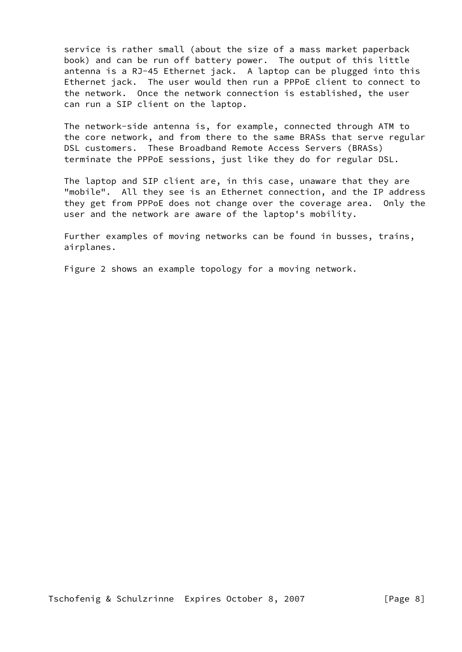service is rather small (about the size of a mass market paperback book) and can be run off battery power. The output of this little antenna is a RJ-45 Ethernet jack. A laptop can be plugged into this Ethernet jack. The user would then run a PPPoE client to connect to the network. Once the network connection is established, the user can run a SIP client on the laptop.

 The network-side antenna is, for example, connected through ATM to the core network, and from there to the same BRASs that serve regular DSL customers. These Broadband Remote Access Servers (BRASs) terminate the PPPoE sessions, just like they do for regular DSL.

 The laptop and SIP client are, in this case, unaware that they are "mobile". All they see is an Ethernet connection, and the IP address they get from PPPoE does not change over the coverage area. Only the user and the network are aware of the laptop's mobility.

 Further examples of moving networks can be found in busses, trains, airplanes.

Figure 2 shows an example topology for a moving network.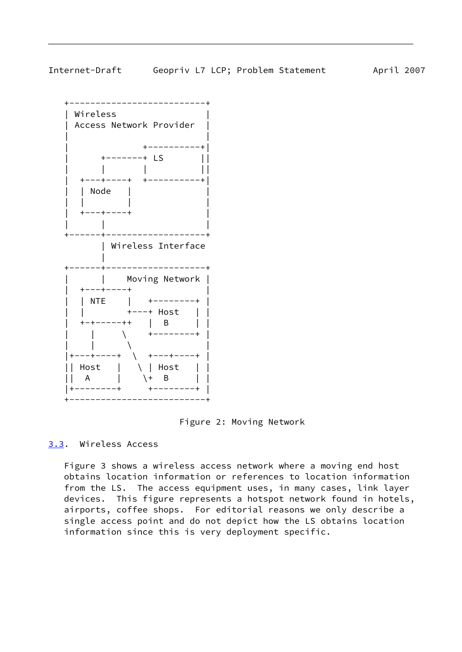<span id="page-9-1"></span>

 +--------------------------+ | Wireless | | Access Network Provider | | | +----------+| | +-------+ LS || | | | || | +---+----+ +----------+| | | Node | | | | | |  $+---+----+$  | | | +------+-------------------+ | Wireless Interface | +------+-------------------+ | | Moving Network | | +---+----+ | | | NTE | +--------+ | | | +---+ Host | | | +-+-----++ | B | | | | \ +--------+ |  $\| \ | \$  |+---+----+ \ +---+----+ | || Host | \ | Host | | || A | \+ B | | |+--------+ +--------+ | +--------------------------+

Figure 2: Moving Network

<span id="page-9-0"></span>[3.3](#page-9-0). Wireless Access

 Figure 3 shows a wireless access network where a moving end host obtains location information or references to location information from the LS. The access equipment uses, in many cases, link layer devices. This figure represents a hotspot network found in hotels, airports, coffee shops. For editorial reasons we only describe a single access point and do not depict how the LS obtains location information since this is very deployment specific.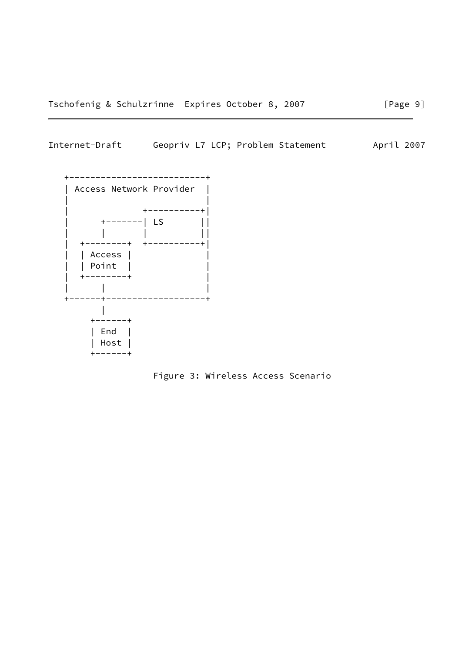## Internet-Draft Geopriv L7 LCP; Problem Statement April 2007



Figure 3: Wireless Access Scenario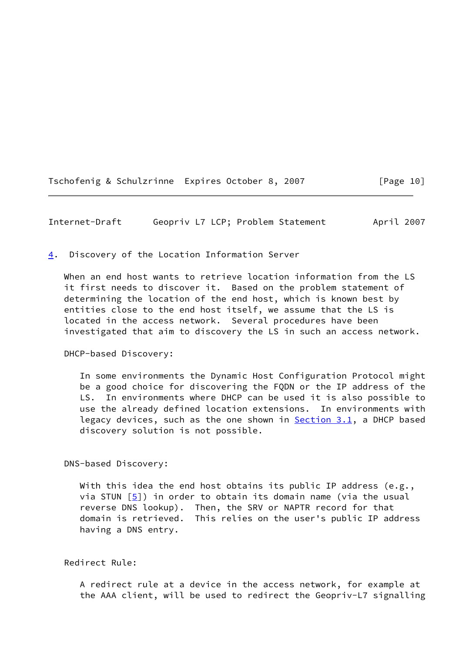Tschofenig & Schulzrinne Expires October 8, 2007 [Page 10]

<span id="page-11-1"></span>Internet-Draft Geopriv L7 LCP; Problem Statement April 2007

<span id="page-11-0"></span>[4](#page-11-0). Discovery of the Location Information Server

 When an end host wants to retrieve location information from the LS it first needs to discover it. Based on the problem statement of determining the location of the end host, which is known best by entities close to the end host itself, we assume that the LS is located in the access network. Several procedures have been investigated that aim to discovery the LS in such an access network.

DHCP-based Discovery:

 In some environments the Dynamic Host Configuration Protocol might be a good choice for discovering the FQDN or the IP address of the LS. In environments where DHCP can be used it is also possible to use the already defined location extensions. In environments with legacy devices, such as the one shown in **Section 3.1**, a DHCP based discovery solution is not possible.

DNS-based Discovery:

With this idea the end host obtains its public IP address (e.g., via STUN  $[5]$  $[5]$ ) in order to obtain its domain name (via the usual reverse DNS lookup). Then, the SRV or NAPTR record for that domain is retrieved. This relies on the user's public IP address having a DNS entry.

Redirect Rule:

 A redirect rule at a device in the access network, for example at the AAA client, will be used to redirect the Geopriv-L7 signalling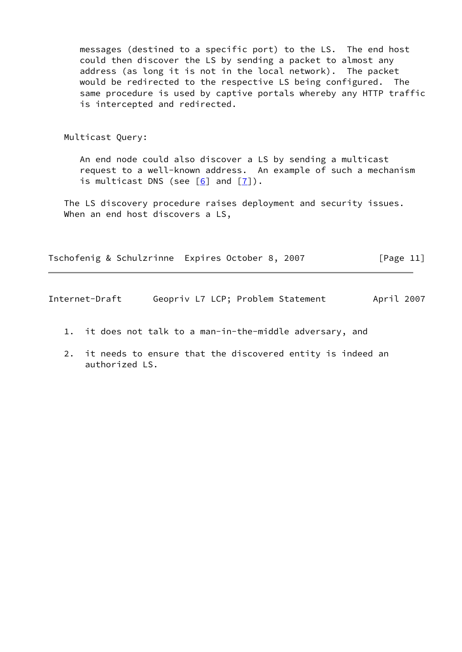messages (destined to a specific port) to the LS. The end host could then discover the LS by sending a packet to almost any address (as long it is not in the local network). The packet would be redirected to the respective LS being configured. The same procedure is used by captive portals whereby any HTTP traffic is intercepted and redirected.

Multicast Query:

 An end node could also discover a LS by sending a multicast request to a well-known address. An example of such a mechanism is multicast DNS (see  $[6]$  and  $[7]$ ).

 The LS discovery procedure raises deployment and security issues. When an end host discovers a LS,

Tschofenig & Schulzrinne Expires October 8, 2007 [Page 11]

Internet-Draft Geopriv L7 LCP; Problem Statement April 2007

- 1. it does not talk to a man-in-the-middle adversary, and
- 2. it needs to ensure that the discovered entity is indeed an authorized LS.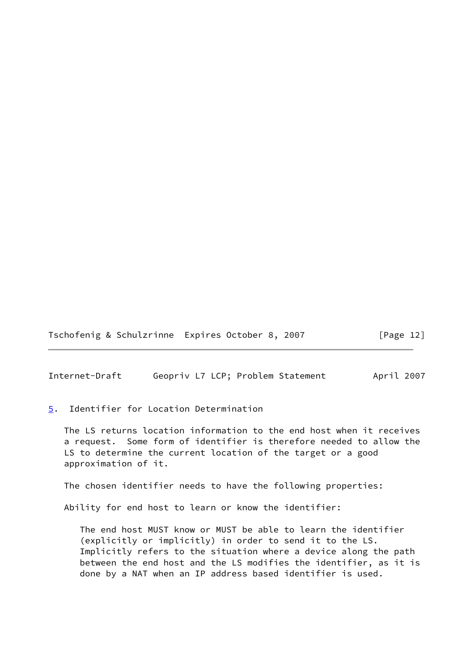Tschofenig & Schulzrinne Expires October 8, 2007 [Page 12]

<span id="page-13-1"></span>Internet-Draft Geopriv L7 LCP; Problem Statement April 2007

<span id="page-13-0"></span>[5](#page-13-0). Identifier for Location Determination

 The LS returns location information to the end host when it receives a request. Some form of identifier is therefore needed to allow the LS to determine the current location of the target or a good approximation of it.

The chosen identifier needs to have the following properties:

Ability for end host to learn or know the identifier:

 The end host MUST know or MUST be able to learn the identifier (explicitly or implicitly) in order to send it to the LS. Implicitly refers to the situation where a device along the path between the end host and the LS modifies the identifier, as it is done by a NAT when an IP address based identifier is used.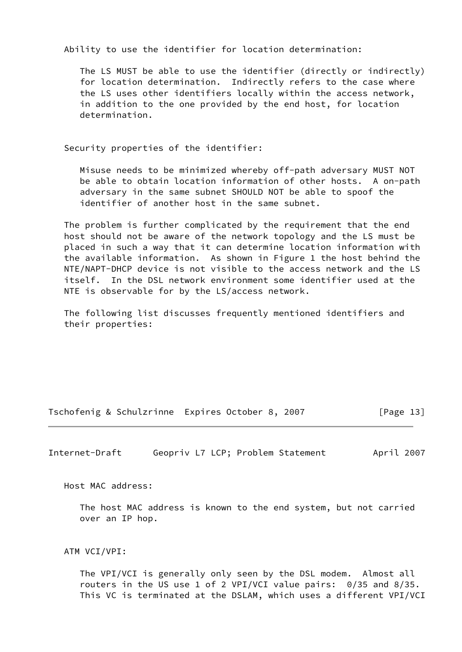Ability to use the identifier for location determination:

 The LS MUST be able to use the identifier (directly or indirectly) for location determination. Indirectly refers to the case where the LS uses other identifiers locally within the access network, in addition to the one provided by the end host, for location determination.

Security properties of the identifier:

 Misuse needs to be minimized whereby off-path adversary MUST NOT be able to obtain location information of other hosts. A on-path adversary in the same subnet SHOULD NOT be able to spoof the identifier of another host in the same subnet.

 The problem is further complicated by the requirement that the end host should not be aware of the network topology and the LS must be placed in such a way that it can determine location information with the available information. As shown in Figure 1 the host behind the NTE/NAPT-DHCP device is not visible to the access network and the LS itself. In the DSL network environment some identifier used at the NTE is observable for by the LS/access network.

 The following list discusses frequently mentioned identifiers and their properties:

Tschofenig & Schulzrinne Expires October 8, 2007 [Page 13]

Internet-Draft Geopriv L7 LCP; Problem Statement April 2007

Host MAC address:

 The host MAC address is known to the end system, but not carried over an IP hop.

ATM VCI/VPI:

 The VPI/VCI is generally only seen by the DSL modem. Almost all routers in the US use 1 of 2 VPI/VCI value pairs: 0/35 and 8/35. This VC is terminated at the DSLAM, which uses a different VPI/VCI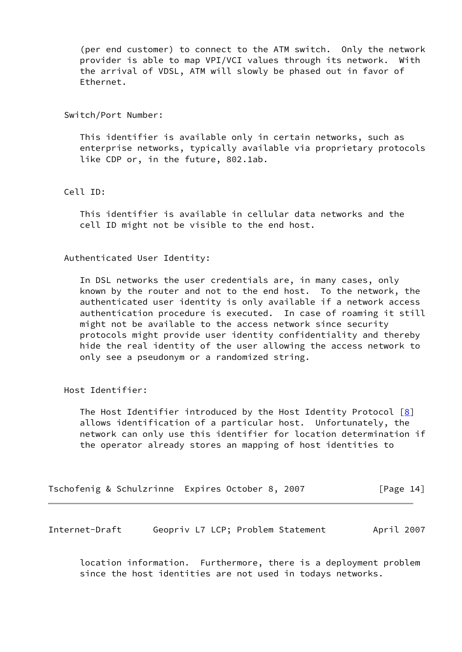(per end customer) to connect to the ATM switch. Only the network provider is able to map VPI/VCI values through its network. With the arrival of VDSL, ATM will slowly be phased out in favor of Ethernet.

Switch/Port Number:

 This identifier is available only in certain networks, such as enterprise networks, typically available via proprietary protocols like CDP or, in the future, 802.1ab.

Cell ID:

 This identifier is available in cellular data networks and the cell ID might not be visible to the end host.

Authenticated User Identity:

 In DSL networks the user credentials are, in many cases, only known by the router and not to the end host. To the network, the authenticated user identity is only available if a network access authentication procedure is executed. In case of roaming it still might not be available to the access network since security protocols might provide user identity confidentiality and thereby hide the real identity of the user allowing the access network to only see a pseudonym or a randomized string.

Host Identifier:

The Host Identifier introduced by the Host Identity Protocol  $[8]$  $[8]$  allows identification of a particular host. Unfortunately, the network can only use this identifier for location determination if the operator already stores an mapping of host identities to

| Tschofenig & Schulzrinne Expires October 8, 2007 |  |  | [Page 14] |
|--------------------------------------------------|--|--|-----------|
|--------------------------------------------------|--|--|-----------|

Internet-Draft Geopriv L7 LCP; Problem Statement April 2007

 location information. Furthermore, there is a deployment problem since the host identities are not used in todays networks.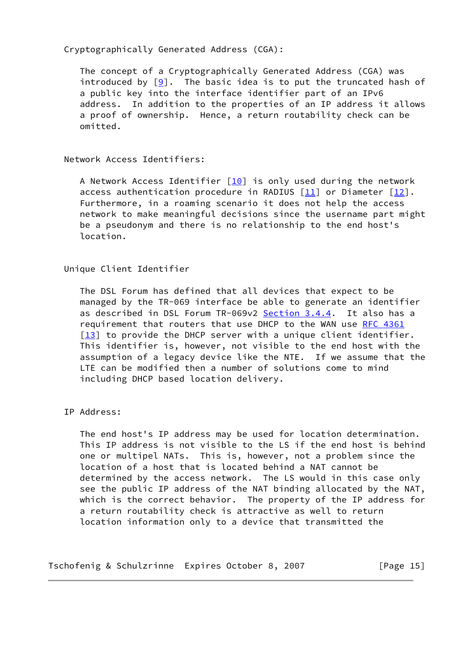## Cryptographically Generated Address (CGA):

 The concept of a Cryptographically Generated Address (CGA) was introduced by  $[9]$ . The basic idea is to put the truncated hash of a public key into the interface identifier part of an IPv6 address. In addition to the properties of an IP address it allows a proof of ownership. Hence, a return routability check can be omitted.

Network Access Identifiers:

A Network Access Identifier  $[10]$  $[10]$  is only used during the network access authentication procedure in RADIUS  $[11]$  or Diameter  $[12]$  $[12]$ . Furthermore, in a roaming scenario it does not help the access network to make meaningful decisions since the username part might be a pseudonym and there is no relationship to the end host's location.

Unique Client Identifier

 The DSL Forum has defined that all devices that expect to be managed by the TR-069 interface be able to generate an identifier as described in DSL Forum TR-069v2 Section 3.4.4. It also has a requirement that routers that use DHCP to the WAN use [RFC 4361](https://datatracker.ietf.org/doc/pdf/rfc4361)  $[13]$  $[13]$  to provide the DHCP server with a unique client identifier. This identifier is, however, not visible to the end host with the assumption of a legacy device like the NTE. If we assume that the LTE can be modified then a number of solutions come to mind including DHCP based location delivery.

IP Address:

 The end host's IP address may be used for location determination. This IP address is not visible to the LS if the end host is behind one or multipel NATs. This is, however, not a problem since the location of a host that is located behind a NAT cannot be determined by the access network. The LS would in this case only see the public IP address of the NAT binding allocated by the NAT, which is the correct behavior. The property of the IP address for a return routability check is attractive as well to return location information only to a device that transmitted the

Tschofenig & Schulzrinne Expires October 8, 2007 [Page 15]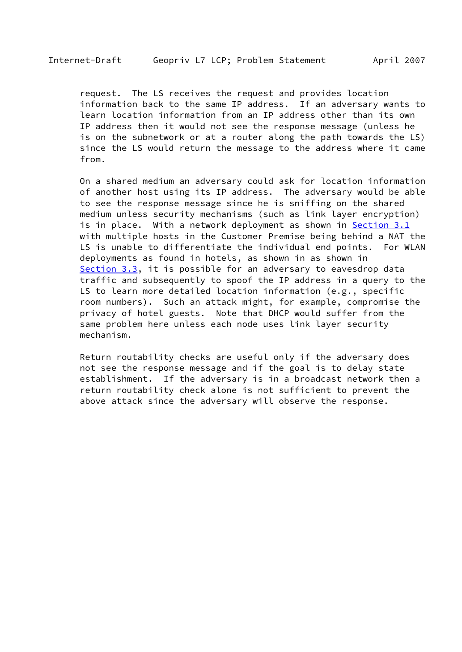request. The LS receives the request and provides location information back to the same IP address. If an adversary wants to learn location information from an IP address other than its own IP address then it would not see the response message (unless he is on the subnetwork or at a router along the path towards the LS) since the LS would return the message to the address where it came from.

 On a shared medium an adversary could ask for location information of another host using its IP address. The adversary would be able to see the response message since he is sniffing on the shared medium unless security mechanisms (such as link layer encryption) is in place. With a network deployment as shown in [Section 3.1](#page-4-2) with multiple hosts in the Customer Premise being behind a NAT the LS is unable to differentiate the individual end points. For WLAN deployments as found in hotels, as shown in as shown in [Section 3.3](#page-9-0), it is possible for an adversary to eavesdrop data traffic and subsequently to spoof the IP address in a query to the LS to learn more detailed location information (e.g., specific room numbers). Such an attack might, for example, compromise the privacy of hotel guests. Note that DHCP would suffer from the same problem here unless each node uses link layer security mechanism.

 Return routability checks are useful only if the adversary does not see the response message and if the goal is to delay state establishment. If the adversary is in a broadcast network then a return routability check alone is not sufficient to prevent the above attack since the adversary will observe the response.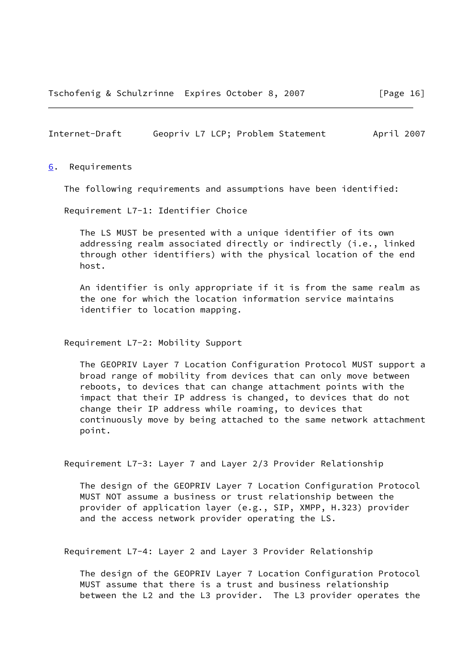### <span id="page-18-1"></span>Internet-Draft Geopriv L7 LCP; Problem Statement April 2007

<span id="page-18-0"></span>[6](#page-18-0). Requirements

The following requirements and assumptions have been identified:

Requirement L7-1: Identifier Choice

 The LS MUST be presented with a unique identifier of its own addressing realm associated directly or indirectly (i.e., linked through other identifiers) with the physical location of the end host.

 An identifier is only appropriate if it is from the same realm as the one for which the location information service maintains identifier to location mapping.

Requirement L7-2: Mobility Support

 The GEOPRIV Layer 7 Location Configuration Protocol MUST support a broad range of mobility from devices that can only move between reboots, to devices that can change attachment points with the impact that their IP address is changed, to devices that do not change their IP address while roaming, to devices that continuously move by being attached to the same network attachment point.

Requirement L7-3: Layer 7 and Layer 2/3 Provider Relationship

 The design of the GEOPRIV Layer 7 Location Configuration Protocol MUST NOT assume a business or trust relationship between the provider of application layer (e.g., SIP, XMPP, H.323) provider and the access network provider operating the LS.

Requirement L7-4: Layer 2 and Layer 3 Provider Relationship

 The design of the GEOPRIV Layer 7 Location Configuration Protocol MUST assume that there is a trust and business relationship between the L2 and the L3 provider. The L3 provider operates the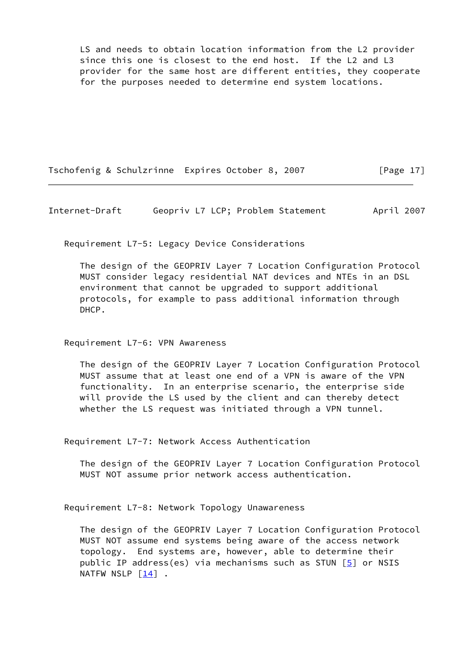LS and needs to obtain location information from the L2 provider since this one is closest to the end host. If the L2 and L3 provider for the same host are different entities, they cooperate for the purposes needed to determine end system locations.

Tschofenig & Schulzrinne Expires October 8, 2007 [Page 17]

Internet-Draft Geopriv L7 LCP; Problem Statement April 2007

Requirement L7-5: Legacy Device Considerations

 The design of the GEOPRIV Layer 7 Location Configuration Protocol MUST consider legacy residential NAT devices and NTEs in an DSL environment that cannot be upgraded to support additional protocols, for example to pass additional information through DHCP.

Requirement L7-6: VPN Awareness

 The design of the GEOPRIV Layer 7 Location Configuration Protocol MUST assume that at least one end of a VPN is aware of the VPN functionality. In an enterprise scenario, the enterprise side will provide the LS used by the client and can thereby detect whether the LS request was initiated through a VPN tunnel.

Requirement L7-7: Network Access Authentication

 The design of the GEOPRIV Layer 7 Location Configuration Protocol MUST NOT assume prior network access authentication.

Requirement L7-8: Network Topology Unawareness

 The design of the GEOPRIV Layer 7 Location Configuration Protocol MUST NOT assume end systems being aware of the access network topology. End systems are, however, able to determine their public IP address(es) via mechanisms such as STUN  $[5]$  or NSIS NATFW NSLP [[14\]](#page-26-1) .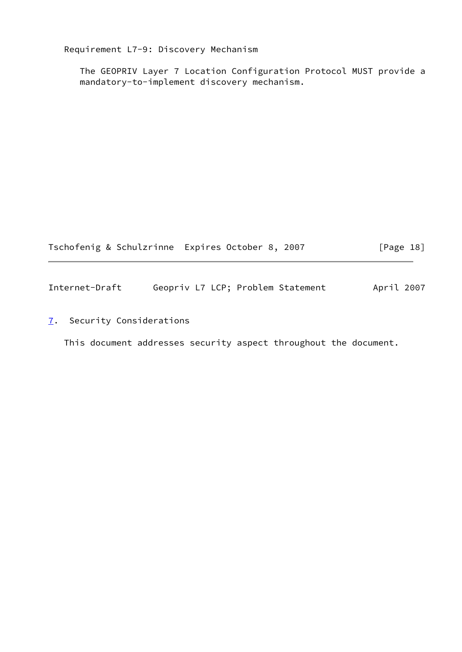Requirement L7-9: Discovery Mechanism

 The GEOPRIV Layer 7 Location Configuration Protocol MUST provide a mandatory-to-implement discovery mechanism.

<span id="page-20-1"></span>

|                | Tschofenig & Schulzrinne Expires October 8, 2007 | $\lceil \text{Page 18} \rceil$ |
|----------------|--------------------------------------------------|--------------------------------|
| Internet-Draft | Geopriv L7 LCP; Problem Statement                | April 2007                     |

<span id="page-20-0"></span>[7](#page-20-0). Security Considerations

This document addresses security aspect throughout the document.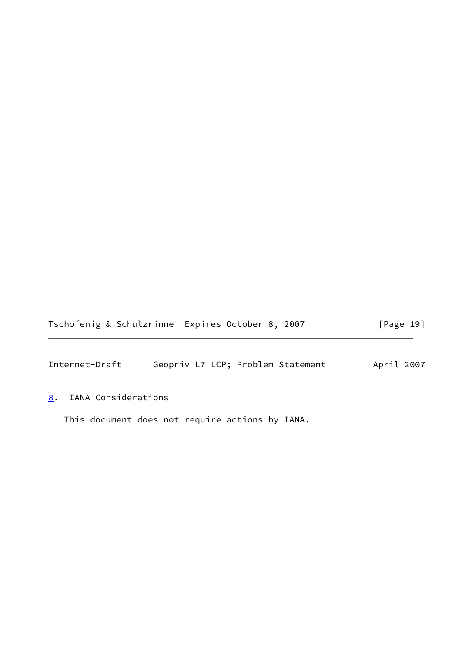|  | Tschofenig & Schulzrinne Expires October 8, 2007 | [Page 19] |
|--|--------------------------------------------------|-----------|
|--|--------------------------------------------------|-----------|

<span id="page-21-1"></span>Internet-Draft Geopriv L7 LCP; Problem Statement April 2007

# <span id="page-21-0"></span>[8](#page-21-0). IANA Considerations

This document does not require actions by IANA.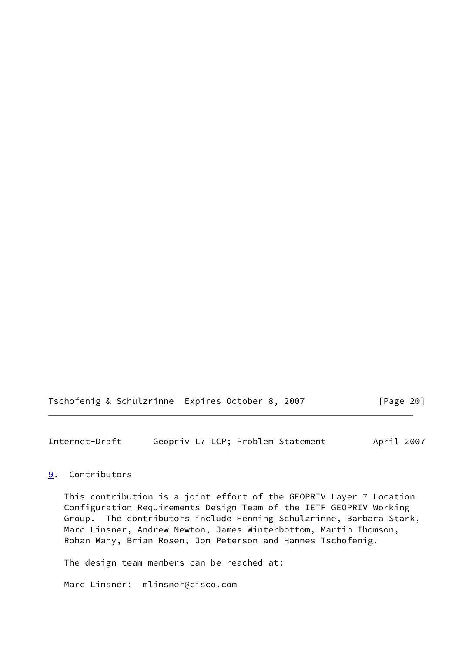Tschofenig & Schulzrinne Expires October 8, 2007 [Page 20]

<span id="page-22-1"></span>Internet-Draft Geopriv L7 LCP; Problem Statement April 2007

## <span id="page-22-0"></span>[9](#page-22-0). Contributors

 This contribution is a joint effort of the GEOPRIV Layer 7 Location Configuration Requirements Design Team of the IETF GEOPRIV Working Group. The contributors include Henning Schulzrinne, Barbara Stark, Marc Linsner, Andrew Newton, James Winterbottom, Martin Thomson, Rohan Mahy, Brian Rosen, Jon Peterson and Hannes Tschofenig.

The design team members can be reached at:

Marc Linsner: mlinsner@cisco.com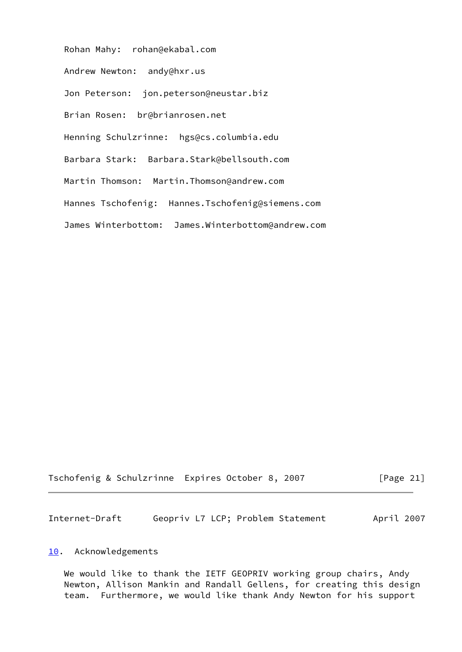Rohan Mahy: rohan@ekabal.com Andrew Newton: andy@hxr.us Jon Peterson: jon.peterson@neustar.biz Brian Rosen: br@brianrosen.net Henning Schulzrinne: hgs@cs.columbia.edu Barbara Stark: Barbara.Stark@bellsouth.com Martin Thomson: Martin.Thomson@andrew.com Hannes Tschofenig: Hannes.Tschofenig@siemens.com James Winterbottom: James.Winterbottom@andrew.com

Tschofenig & Schulzrinne Expires October 8, 2007 [Page 21]

<span id="page-23-1"></span>Internet-Draft Geopriv L7 LCP; Problem Statement April 2007

### <span id="page-23-0"></span>[10.](#page-23-0) Acknowledgements

 We would like to thank the IETF GEOPRIV working group chairs, Andy Newton, Allison Mankin and Randall Gellens, for creating this design team. Furthermore, we would like thank Andy Newton for his support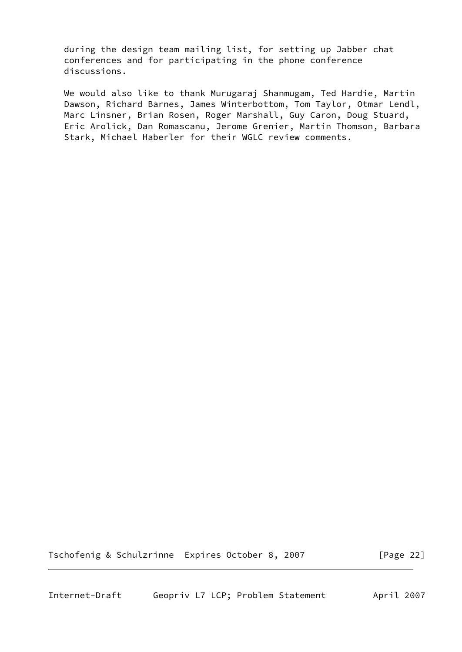during the design team mailing list, for setting up Jabber chat conferences and for participating in the phone conference discussions.

 We would also like to thank Murugaraj Shanmugam, Ted Hardie, Martin Dawson, Richard Barnes, James Winterbottom, Tom Taylor, Otmar Lendl, Marc Linsner, Brian Rosen, Roger Marshall, Guy Caron, Doug Stuard, Eric Arolick, Dan Romascanu, Jerome Grenier, Martin Thomson, Barbara Stark, Michael Haberler for their WGLC review comments.

Tschofenig & Schulzrinne Expires October 8, 2007 [Page 22]

<span id="page-24-0"></span>Internet-Draft Geopriv L7 LCP; Problem Statement April 2007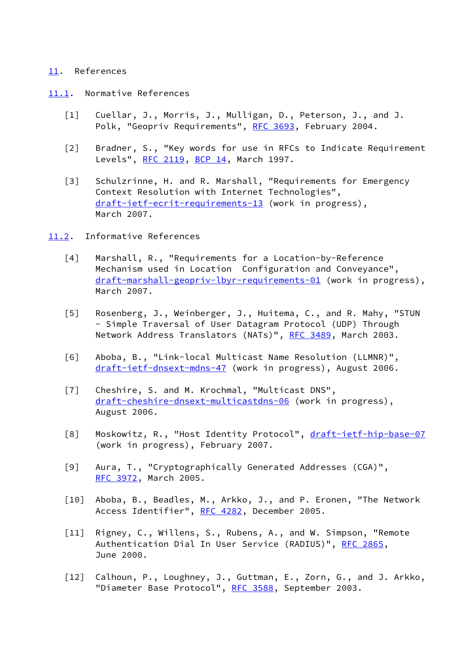### <span id="page-25-0"></span>[11.](#page-25-0) References

- <span id="page-25-5"></span><span id="page-25-4"></span><span id="page-25-1"></span>[11.1](#page-25-1). Normative References
	- [1] Cuellar, J., Morris, J., Mulligan, D., Peterson, J., and J. Polk, "Geopriv Requirements", [RFC 3693,](https://datatracker.ietf.org/doc/pdf/rfc3693) February 2004.
	- [2] Bradner, S., "Key words for use in RFCs to Indicate Requirement Levels", [RFC 2119,](https://datatracker.ietf.org/doc/pdf/rfc2119) [BCP 14](https://datatracker.ietf.org/doc/pdf/bcp14), March 1997.
	- [3] Schulzrinne, H. and R. Marshall, "Requirements for Emergency Context Resolution with Internet Technologies", [draft-ietf-ecrit-requirements-13](https://datatracker.ietf.org/doc/pdf/draft-ietf-ecrit-requirements-13) (work in progress), March 2007.
- <span id="page-25-14"></span><span id="page-25-13"></span><span id="page-25-12"></span><span id="page-25-11"></span><span id="page-25-10"></span><span id="page-25-9"></span><span id="page-25-8"></span><span id="page-25-7"></span><span id="page-25-6"></span><span id="page-25-3"></span><span id="page-25-2"></span>[11.2](#page-25-2). Informative References
	- [4] Marshall, R., "Requirements for a Location-by-Reference Mechanism used in Location Configuration and Conveyance", [draft-marshall-geopriv-lbyr-requirements-01](https://datatracker.ietf.org/doc/pdf/draft-marshall-geopriv-lbyr-requirements-01) (work in progress), March 2007.
	- [5] Rosenberg, J., Weinberger, J., Huitema, C., and R. Mahy, "STUN - Simple Traversal of User Datagram Protocol (UDP) Through Network Address Translators (NATs)", [RFC 3489,](https://datatracker.ietf.org/doc/pdf/rfc3489) March 2003.
	- [6] Aboba, B., "Link-local Multicast Name Resolution (LLMNR)", [draft-ietf-dnsext-mdns-47](https://datatracker.ietf.org/doc/pdf/draft-ietf-dnsext-mdns-47) (work in progress), August 2006.
	- [7] Cheshire, S. and M. Krochmal, "Multicast DNS", [draft-cheshire-dnsext-multicastdns-06](https://datatracker.ietf.org/doc/pdf/draft-cheshire-dnsext-multicastdns-06) (work in progress), August 2006.
	- [8] Moskowitz, R., "Host Identity Protocol", [draft-ietf-hip-base-07](https://datatracker.ietf.org/doc/pdf/draft-ietf-hip-base-07) (work in progress), February 2007.
	- [9] Aura, T., "Cryptographically Generated Addresses (CGA)", [RFC 3972](https://datatracker.ietf.org/doc/pdf/rfc3972), March 2005.
	- [10] Aboba, B., Beadles, M., Arkko, J., and P. Eronen, "The Network Access Identifier", [RFC 4282](https://datatracker.ietf.org/doc/pdf/rfc4282), December 2005.
	- [11] Rigney, C., Willens, S., Rubens, A., and W. Simpson, "Remote Authentication Dial In User Service (RADIUS)", [RFC 2865](https://datatracker.ietf.org/doc/pdf/rfc2865), June 2000.
	- [12] Calhoun, P., Loughney, J., Guttman, E., Zorn, G., and J. Arkko, "Diameter Base Protocol", [RFC 3588](https://datatracker.ietf.org/doc/pdf/rfc3588), September 2003.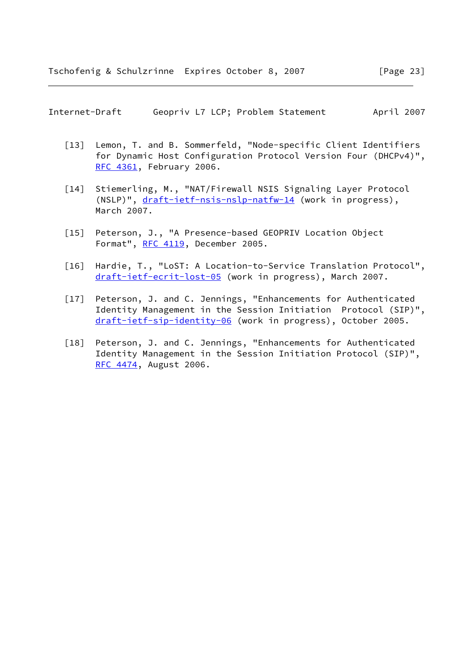Internet-Draft Geopriv L7 LCP; Problem Statement April 2007

- <span id="page-26-0"></span>[13] Lemon, T. and B. Sommerfeld, "Node-specific Client Identifiers for Dynamic Host Configuration Protocol Version Four (DHCPv4)", [RFC 4361](https://datatracker.ietf.org/doc/pdf/rfc4361), February 2006.
- <span id="page-26-1"></span>[14] Stiemerling, M., "NAT/Firewall NSIS Signaling Layer Protocol (NSLP)", [draft-ietf-nsis-nslp-natfw-14](https://datatracker.ietf.org/doc/pdf/draft-ietf-nsis-nslp-natfw-14) (work in progress), March 2007.
- [15] Peterson, J., "A Presence-based GEOPRIV Location Object Format", [RFC 4119,](https://datatracker.ietf.org/doc/pdf/rfc4119) December 2005.
- [16] Hardie, T., "LoST: A Location-to-Service Translation Protocol", [draft-ietf-ecrit-lost-05](https://datatracker.ietf.org/doc/pdf/draft-ietf-ecrit-lost-05) (work in progress), March 2007.
- [17] Peterson, J. and C. Jennings, "Enhancements for Authenticated Identity Management in the Session Initiation Protocol (SIP)", [draft-ietf-sip-identity-06](https://datatracker.ietf.org/doc/pdf/draft-ietf-sip-identity-06) (work in progress), October 2005.
- [18] Peterson, J. and C. Jennings, "Enhancements for Authenticated Identity Management in the Session Initiation Protocol (SIP)", [RFC 4474](https://datatracker.ietf.org/doc/pdf/rfc4474), August 2006.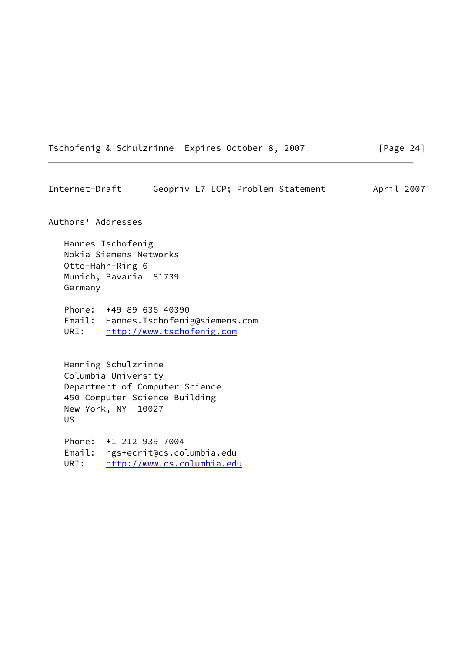Tschofenig & Schulzrinne Expires October 8, 2007 [Page 24]

<span id="page-27-0"></span>Internet-Draft Geopriv L7 LCP; Problem Statement April 2007 Authors' Addresses Hannes Tschofenig Nokia Siemens Networks Otto-Hahn-Ring 6 Munich, Bavaria 81739 Germany Phone: +49 89 636 40390 Email: Hannes.Tschofenig@siemens.com URI: <http://www.tschofenig.com> Henning Schulzrinne Columbia University Department of Computer Science 450 Computer Science Building New York, NY 10027 US

 Phone: +1 212 939 7004 Email: hgs+ecrit@cs.columbia.edu URI: <http://www.cs.columbia.edu>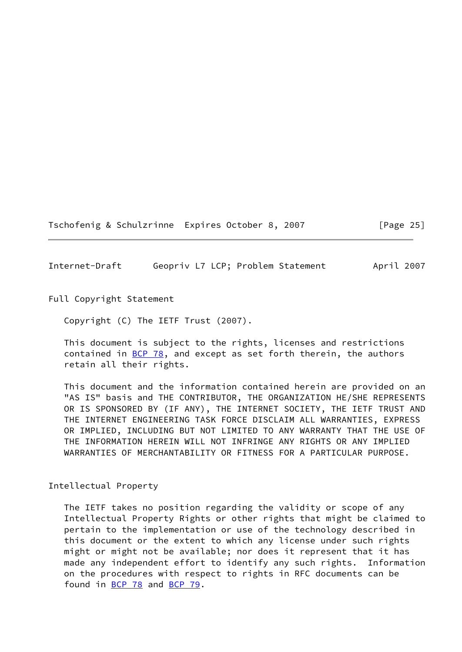Tschofenig & Schulzrinne Expires October 8, 2007 [Page 25]

<span id="page-28-0"></span>Internet-Draft Geopriv L7 LCP; Problem Statement April 2007

Full Copyright Statement

Copyright (C) The IETF Trust (2007).

 This document is subject to the rights, licenses and restrictions contained in  $BCP$  78, and except as set forth therein, the authors retain all their rights.

 This document and the information contained herein are provided on an "AS IS" basis and THE CONTRIBUTOR, THE ORGANIZATION HE/SHE REPRESENTS OR IS SPONSORED BY (IF ANY), THE INTERNET SOCIETY, THE IETF TRUST AND THE INTERNET ENGINEERING TASK FORCE DISCLAIM ALL WARRANTIES, EXPRESS OR IMPLIED, INCLUDING BUT NOT LIMITED TO ANY WARRANTY THAT THE USE OF THE INFORMATION HEREIN WILL NOT INFRINGE ANY RIGHTS OR ANY IMPLIED WARRANTIES OF MERCHANTABILITY OR FITNESS FOR A PARTICULAR PURPOSE.

Intellectual Property

 The IETF takes no position regarding the validity or scope of any Intellectual Property Rights or other rights that might be claimed to pertain to the implementation or use of the technology described in this document or the extent to which any license under such rights might or might not be available; nor does it represent that it has made any independent effort to identify any such rights. Information on the procedures with respect to rights in RFC documents can be found in [BCP 78](https://datatracker.ietf.org/doc/pdf/bcp78) and [BCP 79](https://datatracker.ietf.org/doc/pdf/bcp79).